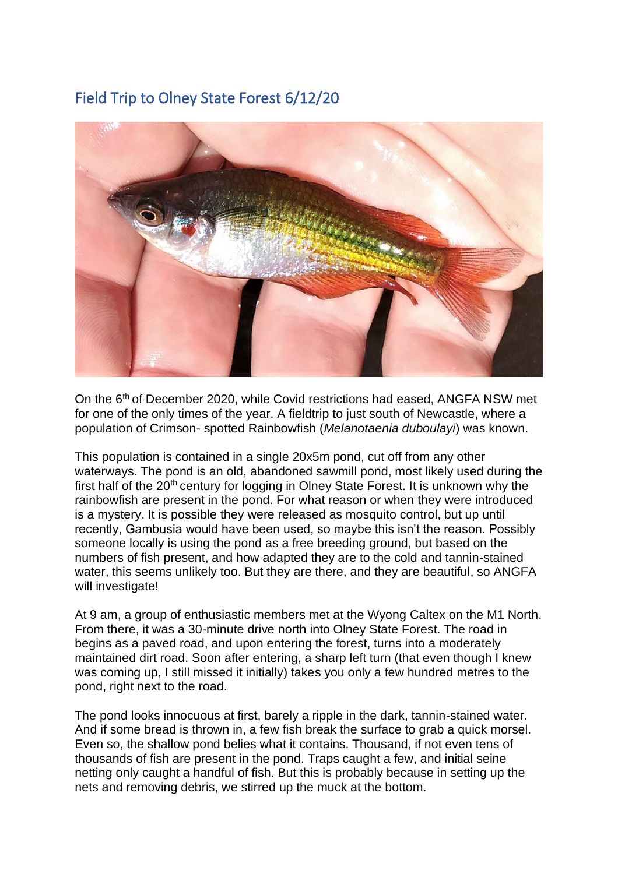## Field Trip to Olney State Forest 6/12/20



On the 6th of December 2020, while Covid restrictions had eased, ANGFA NSW met for one of the only times of the year. A fieldtrip to just south of Newcastle, where a population of Crimson- spotted Rainbowfish (*Melanotaenia duboulayi*) was known.

This population is contained in a single 20x5m pond, cut off from any other waterways. The pond is an old, abandoned sawmill pond, most likely used during the first half of the 20<sup>th</sup> century for logging in Olney State Forest. It is unknown why the rainbowfish are present in the pond. For what reason or when they were introduced is a mystery. It is possible they were released as mosquito control, but up until recently, Gambusia would have been used, so maybe this isn't the reason. Possibly someone locally is using the pond as a free breeding ground, but based on the numbers of fish present, and how adapted they are to the cold and tannin-stained water, this seems unlikely too. But they are there, and they are beautiful, so ANGFA will investigate!

At 9 am, a group of enthusiastic members met at the Wyong Caltex on the M1 North. From there, it was a 30-minute drive north into Olney State Forest. The road in begins as a paved road, and upon entering the forest, turns into a moderately maintained dirt road. Soon after entering, a sharp left turn (that even though I knew was coming up, I still missed it initially) takes you only a few hundred metres to the pond, right next to the road.

The pond looks innocuous at first, barely a ripple in the dark, tannin-stained water. And if some bread is thrown in, a few fish break the surface to grab a quick morsel. Even so, the shallow pond belies what it contains. Thousand, if not even tens of thousands of fish are present in the pond. Traps caught a few, and initial seine netting only caught a handful of fish. But this is probably because in setting up the nets and removing debris, we stirred up the muck at the bottom.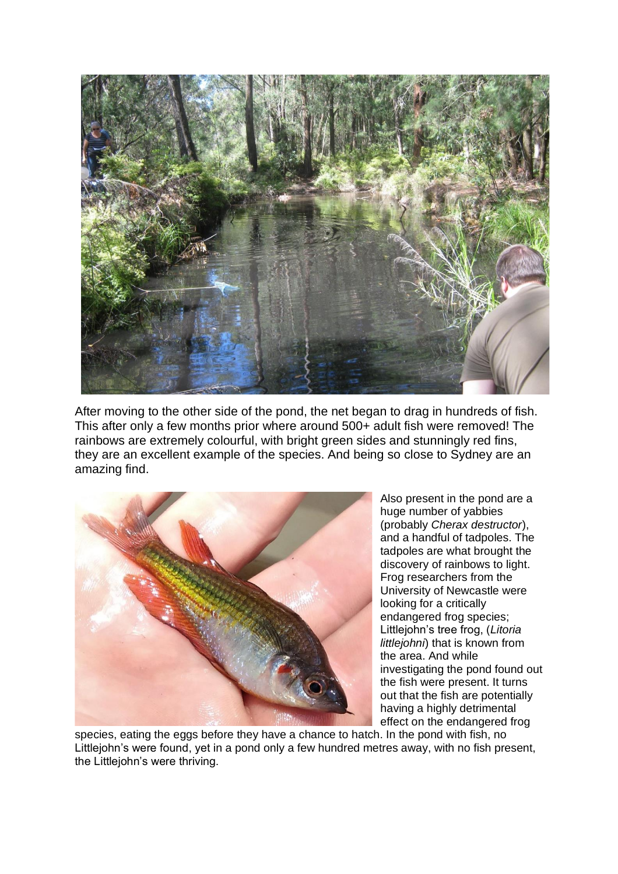

After moving to the other side of the pond, the net began to drag in hundreds of fish. This after only a few months prior where around 500+ adult fish were removed! The rainbows are extremely colourful, with bright green sides and stunningly red fins, they are an excellent example of the species. And being so close to Sydney are an amazing find.



Also present in the pond are a huge number of yabbies (probably *Cherax destructor*), and a handful of tadpoles. The tadpoles are what brought the discovery of rainbows to light. Frog researchers from the University of Newcastle were looking for a critically endangered frog species; Littlejohn's tree frog, (*Litoria littlejohni*) that is known from the area. And while investigating the pond found out the fish were present. It turns out that the fish are potentially having a highly detrimental effect on the endangered frog

species, eating the eggs before they have a chance to hatch. In the pond with fish, no Littlejohn's were found, yet in a pond only a few hundred metres away, with no fish present, the Littlejohn's were thriving.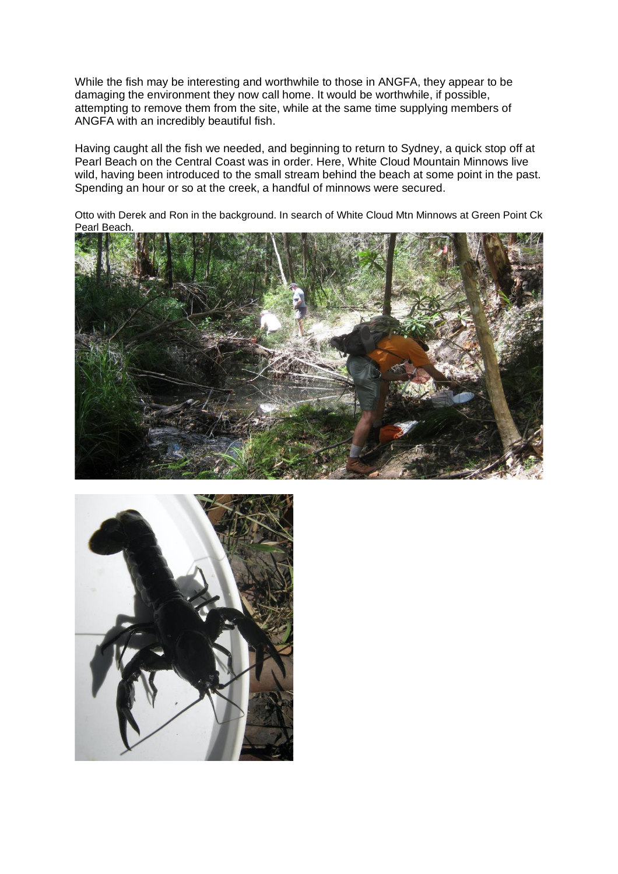While the fish may be interesting and worthwhile to those in ANGFA, they appear to be damaging the environment they now call home. It would be worthwhile, if possible, attempting to remove them from the site, while at the same time supplying members of ANGFA with an incredibly beautiful fish.

Having caught all the fish we needed, and beginning to return to Sydney, a quick stop off at Pearl Beach on the Central Coast was in order. Here, White Cloud Mountain Minnows live wild, having been introduced to the small stream behind the beach at some point in the past. Spending an hour or so at the creek, a handful of minnows were secured.

Otto with Derek and Ron in the background. In search of White Cloud Mtn Minnows at Green Point Ck Pearl Beach.